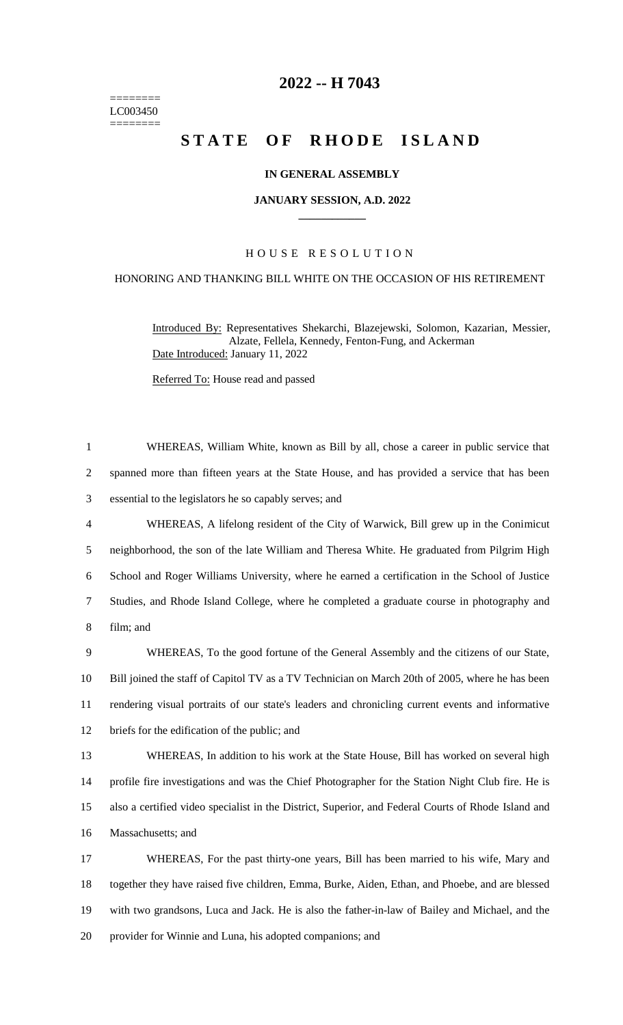======== LC003450 ========

# **-- H 7043**

# **STATE OF RHODE ISLAND**

### **IN GENERAL ASSEMBLY**

#### **JANUARY SESSION, A.D. 2022 \_\_\_\_\_\_\_\_\_\_\_\_**

## H O U S E R E S O L U T I O N

#### HONORING AND THANKING BILL WHITE ON THE OCCASION OF HIS RETIREMENT

Introduced By: Representatives Shekarchi, Blazejewski, Solomon, Kazarian, Messier, Alzate, Fellela, Kennedy, Fenton-Fung, and Ackerman Date Introduced: January 11, 2022

Referred To: House read and passed

 WHEREAS, William White, known as Bill by all, chose a career in public service that spanned more than fifteen years at the State House, and has provided a service that has been essential to the legislators he so capably serves; and WHEREAS, A lifelong resident of the City of Warwick, Bill grew up in the Conimicut neighborhood, the son of the late William and Theresa White. He graduated from Pilgrim High School and Roger Williams University, where he earned a certification in the School of Justice Studies, and Rhode Island College, where he completed a graduate course in photography and film; and WHEREAS, To the good fortune of the General Assembly and the citizens of our State, Bill joined the staff of Capitol TV as a TV Technician on March 20th of 2005, where he has been rendering visual portraits of our state's leaders and chronicling current events and informative briefs for the edification of the public; and WHEREAS, In addition to his work at the State House, Bill has worked on several high profile fire investigations and was the Chief Photographer for the Station Night Club fire. He is also a certified video specialist in the District, Superior, and Federal Courts of Rhode Island and Massachusetts; and WHEREAS, For the past thirty-one years, Bill has been married to his wife, Mary and together they have raised five children, Emma, Burke, Aiden, Ethan, and Phoebe, and are blessed with two grandsons, Luca and Jack. He is also the father-in-law of Bailey and Michael, and the provider for Winnie and Luna, his adopted companions; and